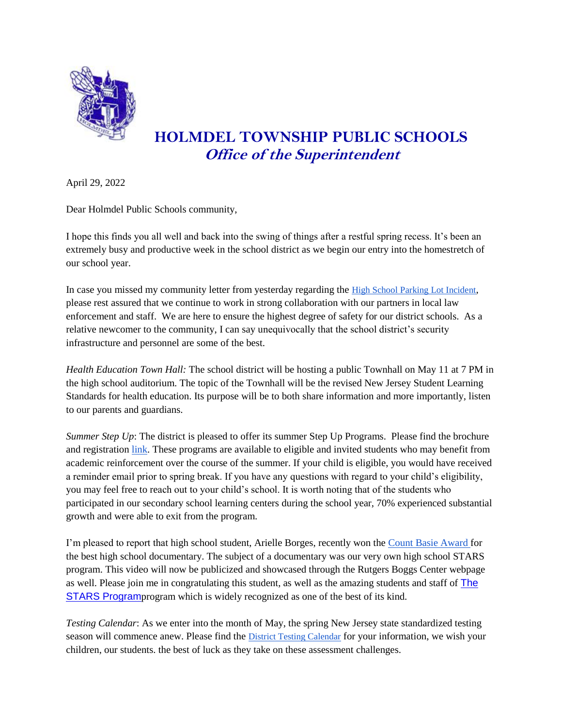

## **HOLMDEL TOWNSHIP PUBLIC SCHOOLS Office of the Superintendent**

April 29, 2022

Dear Holmdel Public Schools community,

I hope this finds you all well and back into the swing of things after a restful spring recess. It's been an extremely busy and productive week in the school district as we begin our entry into the homestretch of our school year.

In case you missed my community letter from yesterday regarding the [High School Parking Lot Incident](https://resources.finalsite.net/images/v1651258628/holmdelk12njus/sqocgr4dngivh7ubdxvr/HHS_Parking_Lot_Incident4_28_22.pdf), please rest assured that we continue to work in strong collaboration with our partners in local law enforcement and staff. We are here to ensure the highest degree of safety for our district schools. As a relative newcomer to the community, I can say unequivocally that the school district's security infrastructure and personnel are some of the best.

*Health Education Town Hall:* The school district will be hosting a public Townhall on May 11 at 7 PM in the high school auditorium. The topic of the Townhall will be the revised New Jersey Student Learning Standards for health education. Its purpose will be to both share information and more importantly, listen to our parents and guardians.

*Summer Step Up*: The district is pleased to offer its summer Step Up Programs. Please find the brochure and registration [link.](https://resources.finalsite.net/images/v1646152463/holmdelk12njus/g2ukvcfjqcdwj3ijnopm/SSUWebsite2022Brochure.pdf) These programs are available to eligible and invited students who may benefit from academic reinforcement over the course of the summer. If your child is eligible, you would have received a reminder email prior to spring break. If you have any questions with regard to your child's eligibility, you may feel free to reach out to your child's school. It is worth noting that of the students who participated in our secondary school learning centers during the school year, 70% experienced substantial growth and were able to exit from the program.

I'm pleased to report that high school student, Arielle Borges, recently won the [Count Basie Award f](https://thebasie.org/film-fest-2022/)or the best high school documentary. The subject of a documentary was our very own high school STARS program. This video will now be publicized and showcased through the Rutgers Boggs Center webpage as well. Please join me in congratulating this student, as well as the amazing students and staff of [The](https://www.youtube.com/watch?v=ZKqs9JKOGw4)  [STARS Program](https://www.youtube.com/watch?v=ZKqs9JKOGw4)program which is widely recognized as one of the best of its kind.

*Testing Calendar*: As we enter into the month of May, the spring New Jersey state standardized testing season will commence anew. Please find the [District Testing Calendar](https://docs.google.com/document/d/1VXA61TORC35R0AKGUhgwhvHR_KAG_0-XQnQPtHI85RI/edit) for your information, we wish your children, our students. the best of luck as they take on these assessment challenges.